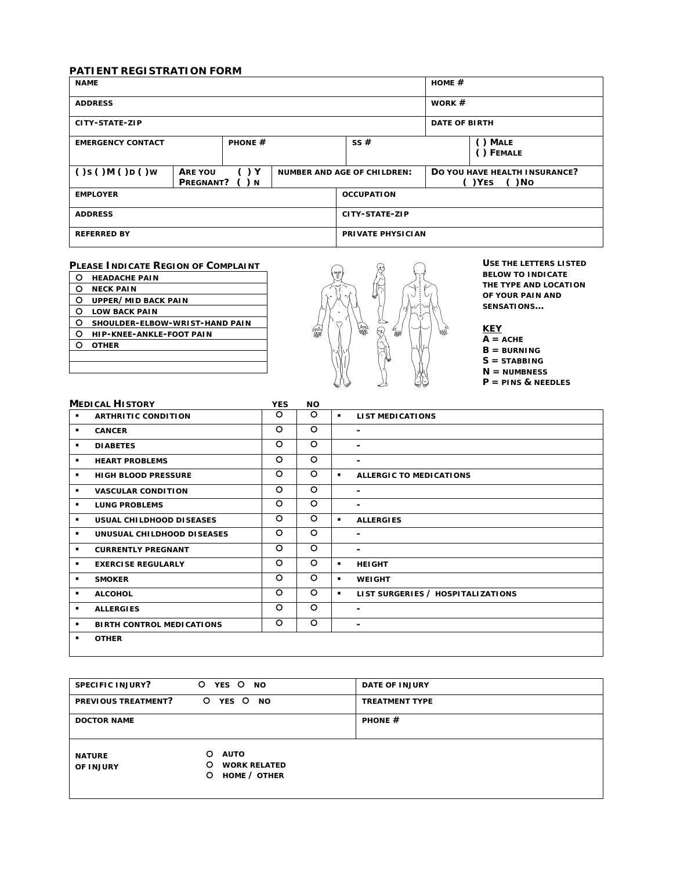## **PATIENT REGISTRATION FORM**

| <b>NAME</b>              |                      |                             |                          |                                    | HOME $#$ |                                             |
|--------------------------|----------------------|-----------------------------|--------------------------|------------------------------------|----------|---------------------------------------------|
| <b>ADDRESS</b>           |                      |                             |                          |                                    | WORK $#$ |                                             |
| CITY-STATE-ZIP           |                      |                             |                          | <b>DATE OF BIRTH</b>               |          |                                             |
| <b>EMERGENCY CONTACT</b> |                      | <b>PHONE <math>#</math></b> |                          | SS#                                |          | () MALE<br>() FEMALE                        |
| ()s()M()D()w             | ARE YOU<br>PREGNANT? | $($ ) Y<br>( ) N            |                          | <b>NUMBER AND AGE OF CHILDREN:</b> |          | DO YOU HAVE HEALTH INSURANCE?<br>()YES ()NO |
| <b>EMPLOYER</b>          |                      |                             | <b>OCCUPATION</b>        |                                    |          |                                             |
| <b>ADDRESS</b>           |                      |                             | CITY-STATE-ZIP           |                                    |          |                                             |
| <b>REFERRED BY</b>       |                      |                             | <b>PRIVATE PHYSICIAN</b> |                                    |          |                                             |

## **PLEASE INDICATE REGION OF COMPLAINT**

| Ω | <b>HEADACHE PAIN</b>            |
|---|---------------------------------|
| O | <b>NECK PAIN</b>                |
| O | UPPER/MID BACK PAIN             |
| റ | <b>LOW BACK PAIN</b>            |
| O | SHOULDER-ELBOW-WRIST-HAND PAIN  |
| റ | <b>HIP-KNEE-ANKLE-FOOT PAIN</b> |
| ∩ | <b>OTHER</b>                    |
|   |                                 |
|   |                                 |



**USE THE LETTERS LISTED BELOW TO INDICATE THE** *TYPE* **AND** *LOCATION* **OF YOUR PAIN AND SENSATIONS…**

## **KEY**

 $\overline{A}$  =  $\overline{A}$ CHE **B = BURNING S = STABBING**

**N = NUMBNESS** 

**P = PINS & NEEDLES** 

|                | <b>MEDICAL HISTORY</b>           | <b>YES</b> | <b>NO</b> |                |                                   |
|----------------|----------------------------------|------------|-----------|----------------|-----------------------------------|
| ٠              | <b>ARTHRITIC CONDITION</b>       | O          | O         | $\blacksquare$ | <b>LIST MEDICATIONS</b>           |
| ٠              | <b>CANCER</b>                    | $\circ$    | $\circ$   |                | ٠.                                |
| ٠              | <b>DIABETES</b>                  | $\circ$    | $\circ$   |                | ۰.                                |
| ٠              | <b>HEART PROBLEMS</b>            | $\circ$    | $\circ$   |                | ۰                                 |
| ٠              | <b>HIGH BLOOD PRESSURE</b>       | $\circ$    | $\circ$   | $\blacksquare$ | <b>ALLERGIC TO MEDICATIONS</b>    |
|                | <b>VASCULAR CONDITION</b>        | O          | $\circ$   |                | ۰.                                |
| ٠              | <b>LUNG PROBLEMS</b>             | $\circ$    | $\circ$   |                | ۰.                                |
| ٠              | <b>USUAL CHILDHOOD DISEASES</b>  | $\circ$    | $\circ$   | $\blacksquare$ | <b>ALLERGIES</b>                  |
| ٠              | UNUSUAL CHILDHOOD DISEASES       | $\circ$    | $\circ$   |                | ۰                                 |
| ٠              | <b>CURRENTLY PREGNANT</b>        | $\circ$    | $\circ$   |                | $\blacksquare$                    |
| $\blacksquare$ | <b>EXERCISE REGULARLY</b>        | $\circ$    | $\circ$   | $\blacksquare$ | <b>HEIGHT</b>                     |
| ٠              | <b>SMOKER</b>                    | $\circ$    | $\circ$   | $\blacksquare$ | <b>WEIGHT</b>                     |
| ٠              | <b>ALCOHOL</b>                   | $\circ$    | O         | $\blacksquare$ | LIST SURGERIES / HOSPITALIZATIONS |
| ٠              | <b>ALLERGIES</b>                 | $\circ$    | $\circ$   |                | ٠.                                |
| ٠              | <b>BIRTH CONTROL MEDICATIONS</b> | $\circ$    | $\circ$   |                | ۰                                 |
| ٠              | <b>OTHER</b>                     |            |           |                |                                   |

| SPECIFIC INJURY?           | YES O<br>$\circ$<br><b>NO</b>                                     | <b>DATE OF INJURY</b>       |
|----------------------------|-------------------------------------------------------------------|-----------------------------|
| PREVIOUS TREATMENT?        | YES O<br>$\circ$<br><b>NO</b>                                     | <b>TREATMENT TYPE</b>       |
| <b>DOCTOR NAME</b>         |                                                                   | <b>PHONE <math>#</math></b> |
| <b>NATURE</b><br>OF INJURY | O<br><b>AUTO</b><br>O<br><b>WORK RELATED</b><br>HOME / OTHER<br>O |                             |